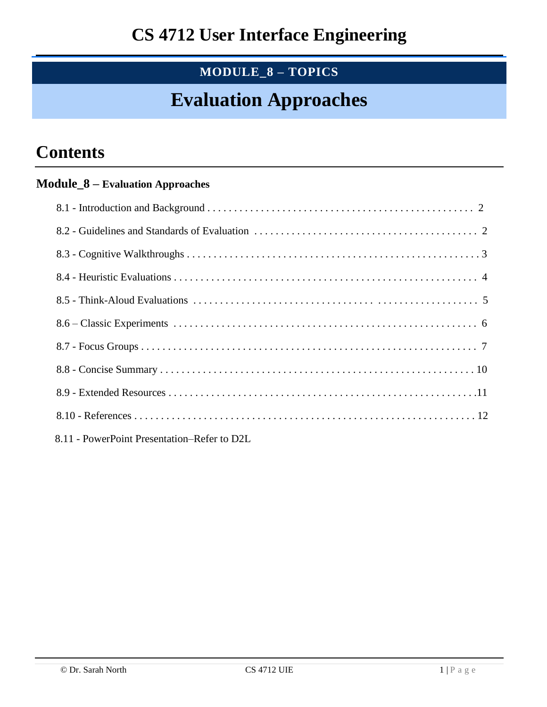## **MODULE\_8 – TOPICS**

# **Evaluation Approaches**

# **Contents**

### **Module\_8 – Evaluation Approaches**

| 8.11 - PowerPoint Presentation–Refer to D2L |  |
|---------------------------------------------|--|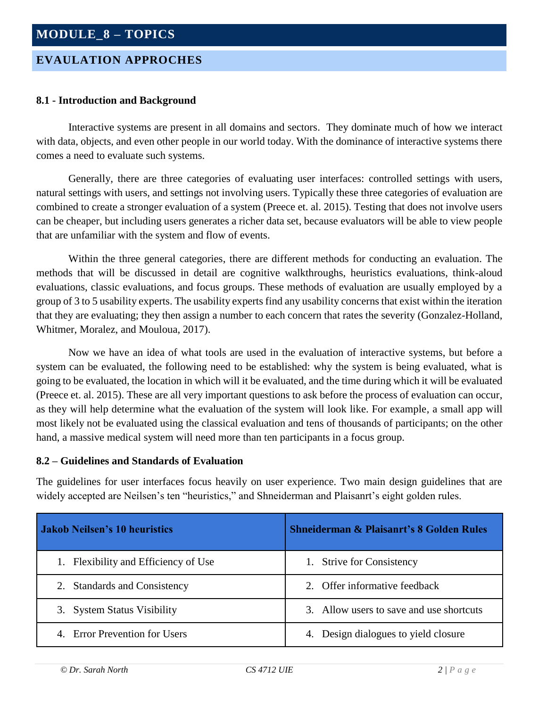### **EVAULATION APPROCHES**

#### **8.1 - Introduction and Background**

Interactive systems are present in all domains and sectors. They dominate much of how we interact with data, objects, and even other people in our world today. With the dominance of interactive systems there comes a need to evaluate such systems.

Generally, there are three categories of evaluating user interfaces: controlled settings with users, natural settings with users, and settings not involving users. Typically these three categories of evaluation are combined to create a stronger evaluation of a system (Preece et. al. 2015). Testing that does not involve users can be cheaper, but including users generates a richer data set, because evaluators will be able to view people that are unfamiliar with the system and flow of events.

Within the three general categories, there are different methods for conducting an evaluation. The methods that will be discussed in detail are cognitive walkthroughs, heuristics evaluations, think-aloud evaluations, classic evaluations, and focus groups. These methods of evaluation are usually employed by a group of 3 to 5 usability experts. The usability experts find any usability concerns that exist within the iteration that they are evaluating; they then assign a number to each concern that rates the severity (Gonzalez-Holland, Whitmer, Moralez, and Mouloua, 2017).

Now we have an idea of what tools are used in the evaluation of interactive systems, but before a system can be evaluated, the following need to be established: why the system is being evaluated, what is going to be evaluated, the location in which will it be evaluated, and the time during which it will be evaluated (Preece et. al. 2015). These are all very important questions to ask before the process of evaluation can occur, as they will help determine what the evaluation of the system will look like. For example, a small app will most likely not be evaluated using the classical evaluation and tens of thousands of participants; on the other hand, a massive medical system will need more than ten participants in a focus group.

#### **8.2 – Guidelines and Standards of Evaluation**

The guidelines for user interfaces focus heavily on user experience. Two main design guidelines that are widely accepted are Neilsen's ten "heuristics," and Shneiderman and Plaisanrt's eight golden rules.

| <b>Jakob Neilsen's 10 heuristics</b> | <b>Shneiderman &amp; Plaisanrt's 8 Golden Rules</b> |
|--------------------------------------|-----------------------------------------------------|
| 1. Flexibility and Efficiency of Use | 1. Strive for Consistency                           |
| 2. Standards and Consistency         | 2. Offer informative feedback                       |
| 3. System Status Visibility          | 3. Allow users to save and use shortcuts            |
| 4. Error Prevention for Users        | 4. Design dialogues to yield closure                |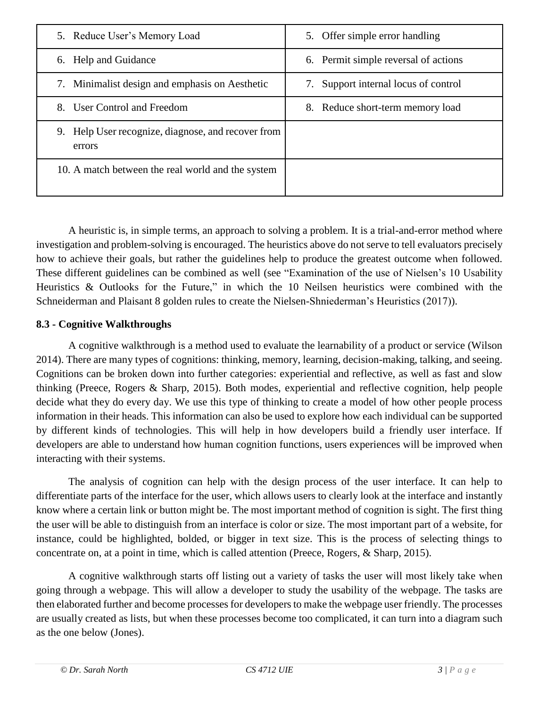| 5. Reduce User's Memory Load                                 | 5. Offer simple error handling          |
|--------------------------------------------------------------|-----------------------------------------|
| 6. Help and Guidance                                         | 6. Permit simple reversal of actions    |
| 7. Minimalist design and emphasis on Aesthetic               | Support internal locus of control<br>7. |
| User Control and Freedom<br>8.                               | 8. Reduce short-term memory load        |
| 9. Help User recognize, diagnose, and recover from<br>errors |                                         |
| 10. A match between the real world and the system            |                                         |

A heuristic is, in simple terms, an approach to solving a problem. It is a trial-and-error method where investigation and problem-solving is encouraged. The heuristics above do not serve to tell evaluators precisely how to achieve their goals, but rather the guidelines help to produce the greatest outcome when followed. These different guidelines can be combined as well (see "Examination of the use of Nielsen's 10 Usability Heuristics & Outlooks for the Future," in which the 10 Neilsen heuristics were combined with the Schneiderman and Plaisant 8 golden rules to create the Nielsen-Shniederman's Heuristics (2017)).

### **8.3 - Cognitive Walkthroughs**

A cognitive walkthrough is a method used to evaluate the learnability of a product or service (Wilson 2014). There are many types of cognitions: thinking, memory, learning, decision-making, talking, and seeing. Cognitions can be broken down into further categories: experiential and reflective, as well as fast and slow thinking (Preece, Rogers & Sharp, 2015). Both modes, experiential and reflective cognition, help people decide what they do every day. We use this type of thinking to create a model of how other people process information in their heads. This information can also be used to explore how each individual can be supported by different kinds of technologies. This will help in how developers build a friendly user interface. If developers are able to understand how human cognition functions, users experiences will be improved when interacting with their systems.

The analysis of cognition can help with the design process of the user interface. It can help to differentiate parts of the interface for the user, which allows users to clearly look at the interface and instantly know where a certain link or button might be. The most important method of cognition is sight. The first thing the user will be able to distinguish from an interface is color or size. The most important part of a website, for instance, could be highlighted, bolded, or bigger in text size. This is the process of selecting things to concentrate on, at a point in time, which is called attention (Preece, Rogers, & Sharp, 2015).

A cognitive walkthrough starts off listing out a variety of tasks the user will most likely take when going through a webpage. This will allow a developer to study the usability of the webpage. The tasks are then elaborated further and become processes for developers to make the webpage user friendly. The processes are usually created as lists, but when these processes become too complicated, it can turn into a diagram such as the one below (Jones).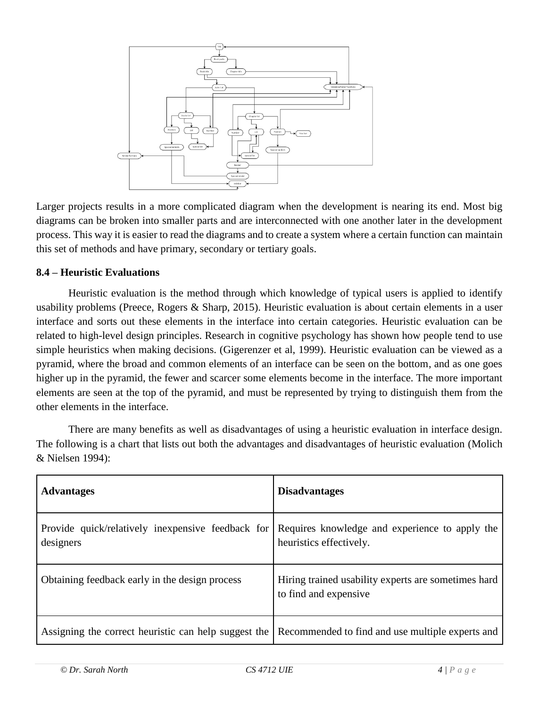

Larger projects results in a more complicated diagram when the development is nearing its end. Most big diagrams can be broken into smaller parts and are interconnected with one another later in the development process. This way it is easier to read the diagrams and to create a system where a certain function can maintain this set of methods and have primary, secondary or tertiary goals.

#### **8.4 – Heuristic Evaluations**

Heuristic evaluation is the method through which knowledge of typical users is applied to identify usability problems (Preece, Rogers & Sharp, 2015). Heuristic evaluation is about certain elements in a user interface and sorts out these elements in the interface into certain categories. Heuristic evaluation can be related to high-level design principles. Research in cognitive psychology has shown how people tend to use simple heuristics when making decisions. (Gigerenzer et al, 1999). Heuristic evaluation can be viewed as a pyramid, where the broad and common elements of an interface can be seen on the bottom, and as one goes higher up in the pyramid, the fewer and scarcer some elements become in the interface. The more important elements are seen at the top of the pyramid, and must be represented by trying to distinguish them from the other elements in the interface.

There are many benefits as well as disadvantages of using a heuristic evaluation in interface design. The following is a chart that lists out both the advantages and disadvantages of heuristic evaluation (Molich & Nielsen 1994):

| <b>Advantages</b>                                                                                     | <b>Disadvantages</b>                                                         |
|-------------------------------------------------------------------------------------------------------|------------------------------------------------------------------------------|
| Provide quick/relatively inexpensive feedback for<br>designers                                        | Requires knowledge and experience to apply the<br>heuristics effectively.    |
| Obtaining feedback early in the design process                                                        | Hiring trained usability experts are sometimes hard<br>to find and expensive |
| Assigning the correct heuristic can help suggest the Recommended to find and use multiple experts and |                                                                              |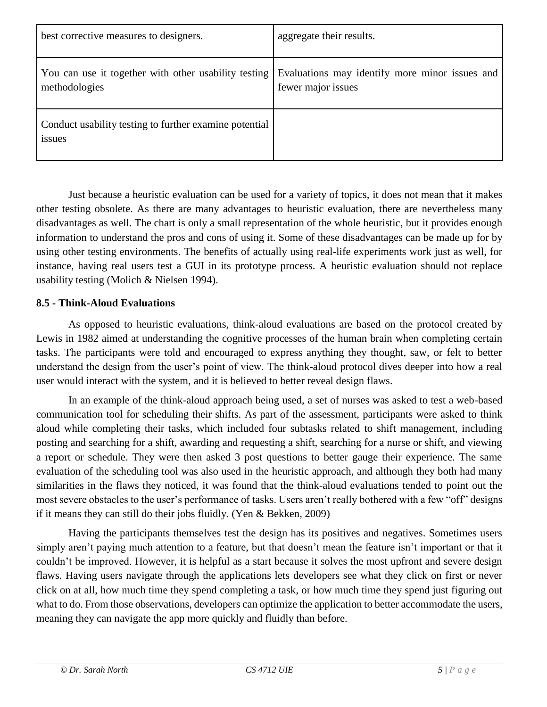| best corrective measures to designers.                                | aggregate their results.                                             |
|-----------------------------------------------------------------------|----------------------------------------------------------------------|
| You can use it together with other usability testing<br>methodologies | Evaluations may identify more minor issues and<br>fewer major issues |
| Conduct usability testing to further examine potential<br>issues      |                                                                      |

Just because a heuristic evaluation can be used for a variety of topics, it does not mean that it makes other testing obsolete. As there are many advantages to heuristic evaluation, there are nevertheless many disadvantages as well. The chart is only a small representation of the whole heuristic, but it provides enough information to understand the pros and cons of using it. Some of these disadvantages can be made up for by using other testing environments. The benefits of actually using real-life experiments work just as well, for instance, having real users test a GUI in its prototype process. A heuristic evaluation should not replace usability testing (Molich & Nielsen 1994).

#### **8.5 - Think-Aloud Evaluations**

As opposed to heuristic evaluations, think-aloud evaluations are based on the protocol created by Lewis in 1982 aimed at understanding the cognitive processes of the human brain when completing certain tasks. The participants were told and encouraged to express anything they thought, saw, or felt to better understand the design from the user's point of view. The think-aloud protocol dives deeper into how a real user would interact with the system, and it is believed to better reveal design flaws.

In an example of the think-aloud approach being used, a set of nurses was asked to test a web-based communication tool for scheduling their shifts. As part of the assessment, participants were asked to think aloud while completing their tasks, which included four subtasks related to shift management, including posting and searching for a shift, awarding and requesting a shift, searching for a nurse or shift, and viewing a report or schedule. They were then asked 3 post questions to better gauge their experience. The same evaluation of the scheduling tool was also used in the heuristic approach, and although they both had many similarities in the flaws they noticed, it was found that the think-aloud evaluations tended to point out the most severe obstacles to the user's performance of tasks. Users aren't really bothered with a few "off" designs if it means they can still do their jobs fluidly. (Yen & Bekken, 2009)

Having the participants themselves test the design has its positives and negatives. Sometimes users simply aren't paying much attention to a feature, but that doesn't mean the feature isn't important or that it couldn't be improved. However, it is helpful as a start because it solves the most upfront and severe design flaws. Having users navigate through the applications lets developers see what they click on first or never click on at all, how much time they spend completing a task, or how much time they spend just figuring out what to do. From those observations, developers can optimize the application to better accommodate the users, meaning they can navigate the app more quickly and fluidly than before.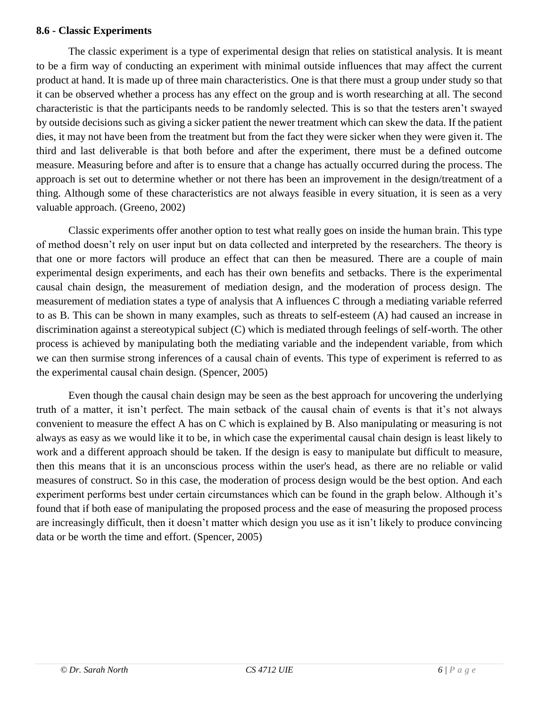#### **8.6 - Classic Experiments**

The classic experiment is a type of experimental design that relies on statistical analysis. It is meant to be a firm way of conducting an experiment with minimal outside influences that may affect the current product at hand. It is made up of three main characteristics. One is that there must a group under study so that it can be observed whether a process has any effect on the group and is worth researching at all. The second characteristic is that the participants needs to be randomly selected. This is so that the testers aren't swayed by outside decisions such as giving a sicker patient the newer treatment which can skew the data. If the patient dies, it may not have been from the treatment but from the fact they were sicker when they were given it. The third and last deliverable is that both before and after the experiment, there must be a defined outcome measure. Measuring before and after is to ensure that a change has actually occurred during the process. The approach is set out to determine whether or not there has been an improvement in the design/treatment of a thing. Although some of these characteristics are not always feasible in every situation, it is seen as a very valuable approach. (Greeno, 2002)

Classic experiments offer another option to test what really goes on inside the human brain. This type of method doesn't rely on user input but on data collected and interpreted by the researchers. The theory is that one or more factors will produce an effect that can then be measured. There are a couple of main experimental design experiments, and each has their own benefits and setbacks. There is the experimental causal chain design, the measurement of mediation design, and the moderation of process design. The measurement of mediation states a type of analysis that A influences C through a mediating variable referred to as B. This can be shown in many examples, such as threats to self-esteem (A) had caused an increase in discrimination against a stereotypical subject (C) which is mediated through feelings of self-worth. The other process is achieved by manipulating both the mediating variable and the independent variable, from which we can then surmise strong inferences of a causal chain of events. This type of experiment is referred to as the experimental causal chain design. (Spencer, 2005)

Even though the causal chain design may be seen as the best approach for uncovering the underlying truth of a matter, it isn't perfect. The main setback of the causal chain of events is that it's not always convenient to measure the effect A has on C which is explained by B. Also manipulating or measuring is not always as easy as we would like it to be, in which case the experimental causal chain design is least likely to work and a different approach should be taken. If the design is easy to manipulate but difficult to measure, then this means that it is an unconscious process within the user's head, as there are no reliable or valid measures of construct. So in this case, the moderation of process design would be the best option. And each experiment performs best under certain circumstances which can be found in the graph below. Although it's found that if both ease of manipulating the proposed process and the ease of measuring the proposed process are increasingly difficult, then it doesn't matter which design you use as it isn't likely to produce convincing data or be worth the time and effort. (Spencer, 2005)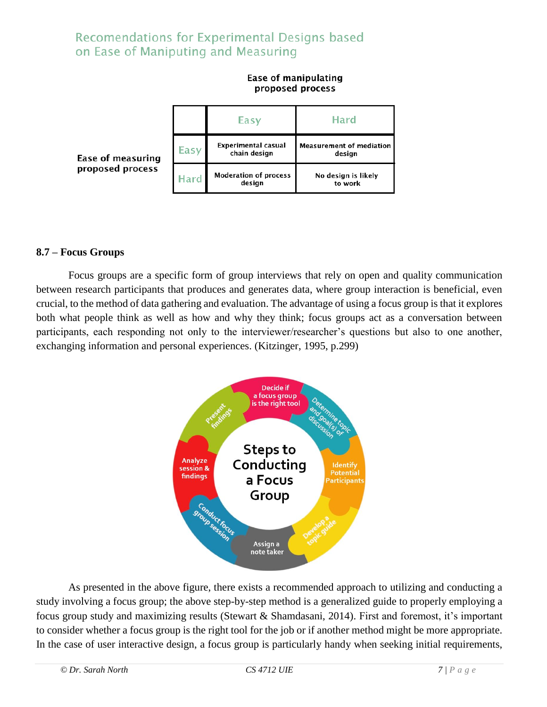### Recomendations for Experimental Designs based on Ease of Maniputing and Measuring

#### proposed process Easy Hard **Experimental casual Measurement of mediation** Easy chain design design **Ease of measuring** proposed process **Moderation of process** No design is likely Hard design to work

# Ease of manipulating

**8.7 – Focus Groups**

Focus groups are a specific form of group interviews that rely on open and quality communication between research participants that produces and generates data, where group interaction is beneficial, even crucial, to the method of data gathering and evaluation. The advantage of using a focus group is that it explores both what people think as well as how and why they think; focus groups act as a conversation between participants, each responding not only to the interviewer/researcher's questions but also to one another, exchanging information and personal experiences. (Kitzinger, 1995, p.299)



As presented in the above figure, there exists a recommended approach to utilizing and conducting a study involving a focus group; the above step-by-step method is a generalized guide to properly employing a focus group study and maximizing results (Stewart & Shamdasani, 2014). First and foremost, it's important to consider whether a focus group is the right tool for the job or if another method might be more appropriate. In the case of user interactive design, a focus group is particularly handy when seeking initial requirements,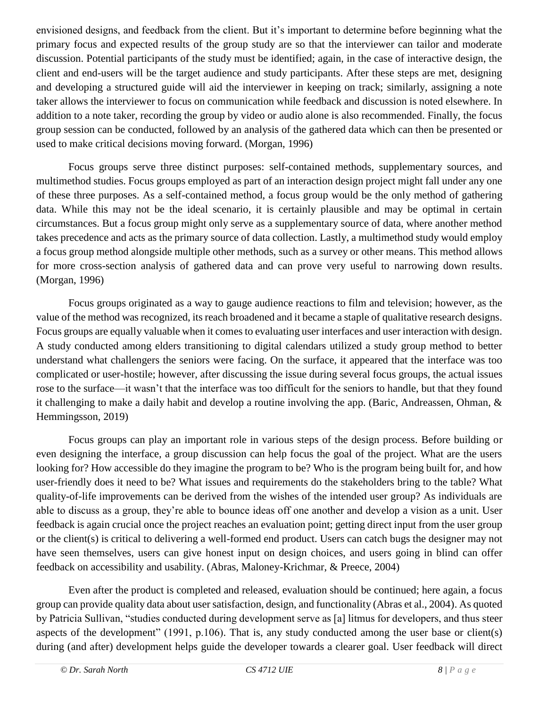envisioned designs, and feedback from the client. But it's important to determine before beginning what the primary focus and expected results of the group study are so that the interviewer can tailor and moderate discussion. Potential participants of the study must be identified; again, in the case of interactive design, the client and end-users will be the target audience and study participants. After these steps are met, designing and developing a structured guide will aid the interviewer in keeping on track; similarly, assigning a note taker allows the interviewer to focus on communication while feedback and discussion is noted elsewhere. In addition to a note taker, recording the group by video or audio alone is also recommended. Finally, the focus group session can be conducted, followed by an analysis of the gathered data which can then be presented or used to make critical decisions moving forward. (Morgan, 1996)

Focus groups serve three distinct purposes: self-contained methods, supplementary sources, and multimethod studies. Focus groups employed as part of an interaction design project might fall under any one of these three purposes. As a self-contained method, a focus group would be the only method of gathering data. While this may not be the ideal scenario, it is certainly plausible and may be optimal in certain circumstances. But a focus group might only serve as a supplementary source of data, where another method takes precedence and acts as the primary source of data collection. Lastly, a multimethod study would employ a focus group method alongside multiple other methods, such as a survey or other means. This method allows for more cross-section analysis of gathered data and can prove very useful to narrowing down results. (Morgan, 1996)

Focus groups originated as a way to gauge audience reactions to film and television; however, as the value of the method was recognized, its reach broadened and it became a staple of qualitative research designs. Focus groups are equally valuable when it comes to evaluating user interfaces and user interaction with design. A study conducted among elders transitioning to digital calendars utilized a study group method to better understand what challengers the seniors were facing. On the surface, it appeared that the interface was too complicated or user-hostile; however, after discussing the issue during several focus groups, the actual issues rose to the surface—it wasn't that the interface was too difficult for the seniors to handle, but that they found it challenging to make a daily habit and develop a routine involving the app. (Baric, Andreassen, Ohman, & Hemmingsson, 2019)

Focus groups can play an important role in various steps of the design process. Before building or even designing the interface, a group discussion can help focus the goal of the project. What are the users looking for? How accessible do they imagine the program to be? Who is the program being built for, and how user-friendly does it need to be? What issues and requirements do the stakeholders bring to the table? What quality-of-life improvements can be derived from the wishes of the intended user group? As individuals are able to discuss as a group, they're able to bounce ideas off one another and develop a vision as a unit. User feedback is again crucial once the project reaches an evaluation point; getting direct input from the user group or the client(s) is critical to delivering a well-formed end product. Users can catch bugs the designer may not have seen themselves, users can give honest input on design choices, and users going in blind can offer feedback on accessibility and usability. (Abras, Maloney-Krichmar, & Preece, 2004)

Even after the product is completed and released, evaluation should be continued; here again, a focus group can provide quality data about user satisfaction, design, and functionality (Abras et al., 2004). As quoted by Patricia Sullivan, "studies conducted during development serve as [a] litmus for developers, and thus steer aspects of the development" (1991, p.106). That is, any study conducted among the user base or client(s) during (and after) development helps guide the developer towards a clearer goal. User feedback will direct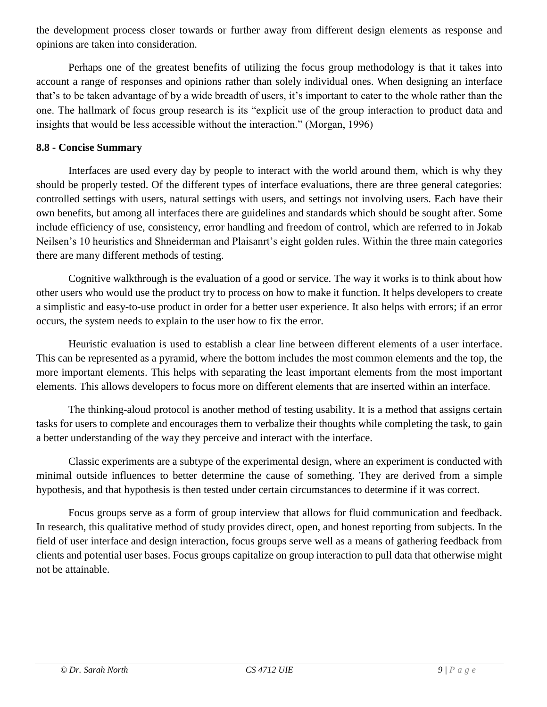the development process closer towards or further away from different design elements as response and opinions are taken into consideration.

Perhaps one of the greatest benefits of utilizing the focus group methodology is that it takes into account a range of responses and opinions rather than solely individual ones. When designing an interface that's to be taken advantage of by a wide breadth of users, it's important to cater to the whole rather than the one. The hallmark of focus group research is its "explicit use of the group interaction to product data and insights that would be less accessible without the interaction." (Morgan, 1996)

#### **8.8 - Concise Summary**

Interfaces are used every day by people to interact with the world around them, which is why they should be properly tested. Of the different types of interface evaluations, there are three general categories: controlled settings with users, natural settings with users, and settings not involving users. Each have their own benefits, but among all interfaces there are guidelines and standards which should be sought after. Some include efficiency of use, consistency, error handling and freedom of control, which are referred to in Jokab Neilsen's 10 heuristics and Shneiderman and Plaisanrt's eight golden rules. Within the three main categories there are many different methods of testing.

Cognitive walkthrough is the evaluation of a good or service. The way it works is to think about how other users who would use the product try to process on how to make it function. It helps developers to create a simplistic and easy-to-use product in order for a better user experience. It also helps with errors; if an error occurs, the system needs to explain to the user how to fix the error.

Heuristic evaluation is used to establish a clear line between different elements of a user interface. This can be represented as a pyramid, where the bottom includes the most common elements and the top, the more important elements. This helps with separating the least important elements from the most important elements. This allows developers to focus more on different elements that are inserted within an interface.

The thinking-aloud protocol is another method of testing usability. It is a method that assigns certain tasks for users to complete and encourages them to verbalize their thoughts while completing the task, to gain a better understanding of the way they perceive and interact with the interface.

Classic experiments are a subtype of the experimental design, where an experiment is conducted with minimal outside influences to better determine the cause of something. They are derived from a simple hypothesis, and that hypothesis is then tested under certain circumstances to determine if it was correct.

Focus groups serve as a form of group interview that allows for fluid communication and feedback. In research, this qualitative method of study provides direct, open, and honest reporting from subjects. In the field of user interface and design interaction, focus groups serve well as a means of gathering feedback from clients and potential user bases. Focus groups capitalize on group interaction to pull data that otherwise might not be attainable.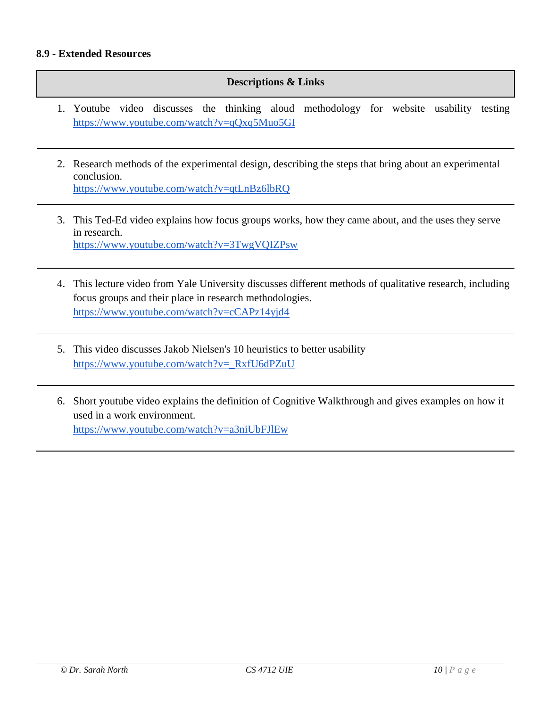#### **8.9 - Extended Resources**

#### **Descriptions & Links**

- 1. Youtube video discusses the thinking aloud methodology for website usability testing <https://www.youtube.com/watch?v=qQxq5Muo5GI>
- 2. Research methods of the experimental design, describing the steps that bring about an experimental conclusion. <https://www.youtube.com/watch?v=qtLnBz6lbRQ>
- 3. This Ted-Ed video explains how focus groups works, how they came about, and the uses they serve in research. <https://www.youtube.com/watch?v=3TwgVQIZPsw>
- 4. This lecture video from Yale University discusses different methods of qualitative research, including focus groups and their place in research methodologies. <https://www.youtube.com/watch?v=cCAPz14yjd4>
- 5. This video discusses Jakob Nielsen's 10 heuristics to better usability [https://www.youtube.com/watch?v=\\_RxfU6dPZuU](https://www.youtube.com/watch?v=_RxfU6dPZuU)
- 6. Short youtube video explains the definition of Cognitive Walkthrough and gives examples on how it used in a work environment. <https://www.youtube.com/watch?v=a3niUbFJlEw>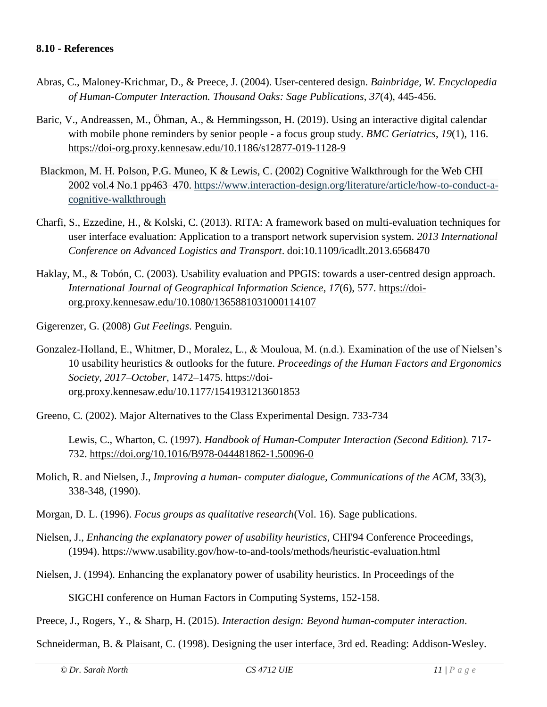- Abras, C., Maloney-Krichmar, D., & Preece, J. (2004). User-centered design. *Bainbridge, W. Encyclopedia of Human-Computer Interaction. Thousand Oaks: Sage Publications*, *37*(4), 445-456.
- Baric, V., Andreassen, M., Öhman, A., & Hemmingsson, H. (2019). Using an interactive digital calendar with mobile phone reminders by senior people - a focus group study. *BMC Geriatrics*, *19*(1), 116. <https://doi-org.proxy.kennesaw.edu/10.1186/s12877-019-1128-9>
- Blackmon, M. H. Polson, P.G. Muneo, K & Lewis, C. (2002) Cognitive Walkthrough for the Web CHI 2002 vol.4 No.1 pp463–470. [https://www.interaction-design.org/literature/article/how-to-conduct-a](https://www.interaction-design.org/literature/article/how-to-conduct-a-cognitive-walkthrough)[cognitive-walkthrough](https://www.interaction-design.org/literature/article/how-to-conduct-a-cognitive-walkthrough)
- Charfi, S., Ezzedine, H., & Kolski, C. (2013). RITA: A framework based on multi-evaluation techniques for user interface evaluation: Application to a transport network supervision system. *2013 International Conference on Advanced Logistics and Transport*. doi:10.1109/icadlt.2013.6568470
- Haklay, M., & Tobón, C. (2003). Usability evaluation and PPGIS: towards a user-centred design approach. *International Journal of Geographical Information Science*, *17*(6), 577. [https://doi](https://doi-org.proxy.kennesaw.edu/10.1080/1365881031000114107)[org.proxy.kennesaw.edu/10.1080/1365881031000114107](https://doi-org.proxy.kennesaw.edu/10.1080/1365881031000114107)
- Gigerenzer, G. (2008) *Gut Feelings*. Penguin.
- Gonzalez-Holland, E., Whitmer, D., Moralez, L., & Mouloua, M. (n.d.). Examination of the use of Nielsen's 10 usability heuristics & outlooks for the future. *Proceedings of the Human Factors and Ergonomics Society*, *2017*–*October*, 1472–1475. https://doiorg.proxy.kennesaw.edu/10.1177/1541931213601853
- Greeno, C. (2002). Major Alternatives to the Class Experimental Design. 733-734

Lewis, C., Wharton, C. (1997). *Handbook of Human-Computer Interaction (Second Edition).* 717- 732.<https://doi.org/10.1016/B978-044481862-1.50096-0>

- Molich, R. and Nielsen, J., *Improving a human- computer dialogue, Communications of the ACM*, 33(3), 338-348, (1990).
- Morgan, D. L. (1996). *Focus groups as qualitative research*(Vol. 16). Sage publications.
- Nielsen, J., *Enhancing the explanatory power of usability heuristics*, CHI'94 Conference Proceedings, (1994).<https://www.usability.gov/how-to-and-tools/methods/heuristic-evaluation.html>
- Nielsen, J. (1994). Enhancing the explanatory power of usability heuristics. In Proceedings of the

SIGCHI conference on Human Factors in Computing Systems, 152-158.

Preece, J., Rogers, Y., & Sharp, H. (2015). *Interaction design: Beyond human-computer interaction*.

Schneiderman, B. & Plaisant, C. (1998). Designing the user interface, 3rd ed. Reading: Addison-Wesley.